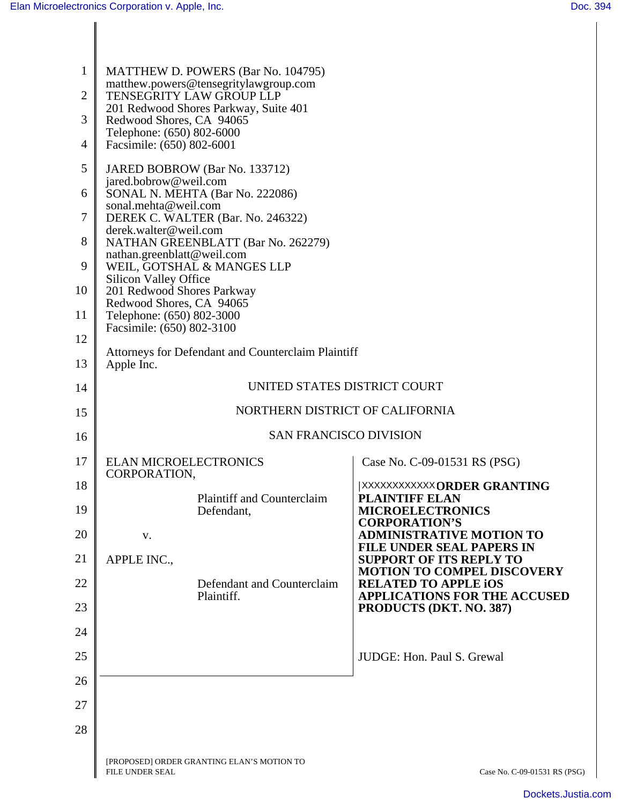| $\mathbf{1}$   | MATTHEW D. POWERS (Bar No. 104795)                                |                                                                     |
|----------------|-------------------------------------------------------------------|---------------------------------------------------------------------|
| $\overline{2}$ | matthew.powers@tensegritylawgroup.com<br>TENSEGRITY LAW GROUP LLP |                                                                     |
| 3              | 201 Redwood Shores Parkway, Suite 401<br>Redwood Shores, CA 94065 |                                                                     |
| $\overline{4}$ | Telephone: (650) 802-6000<br>Facsimile: (650) 802-6001            |                                                                     |
| 5              | JARED BOBROW (Bar No. 133712)                                     |                                                                     |
| 6              | jared.bobrow@weil.com<br>SONAL N. MEHTA (Bar No. 222086)          |                                                                     |
| $\overline{7}$ | sonal.mehta@weil.com<br>DEREK C. WALTER (Bar. No. 246322)         |                                                                     |
| 8              | derek.walter@weil.com<br>NATHAN GREENBLATT (Bar No. 262279)       |                                                                     |
| 9              | nathan.greenblatt@weil.com<br>WEIL, GOTSHAL & MANGES LLP          |                                                                     |
| 10             | <b>Silicon Valley Office</b><br>201 Redwood Shores Parkway        |                                                                     |
| 11             | Redwood Shores, CA 94065<br>Telephone: (650) 802-3000             |                                                                     |
| 12             | Facsimile: (650) 802-3100                                         |                                                                     |
| 13             | Attorneys for Defendant and Counterclaim Plaintiff<br>Apple Inc.  |                                                                     |
| 14             | UNITED STATES DISTRICT COURT                                      |                                                                     |
| 15             | NORTHERN DISTRICT OF CALIFORNIA                                   |                                                                     |
| 16             | <b>SAN FRANCISCO DIVISION</b>                                     |                                                                     |
| 17             | <b>ELAN MICROELECTRONICS</b><br><b>CORPORATION</b>                | Case No. C-09-01531 RS (PSG)                                        |
| 18             | <b>Plaintiff and Counterclaim</b>                                 | <b>XXXXXXXXXXX ORDER GRANTING</b><br><b>PLAINTIFF ELAN</b>          |
| 19             | Defendant,                                                        | <b>MICROELECTRONICS</b><br><b>CORPORATION'S</b>                     |
| 20             | V.                                                                | <b>ADMINISTRATIVE MOTION TO</b><br><b>FILE UNDER SEAL PAPERS IN</b> |
| 21             | APPLE INC.,                                                       | <b>SUPPORT OF ITS REPLY TO</b><br><b>MOTION TO COMPEL DISCOVERY</b> |
| 22             | Defendant and Counterclaim<br>Plaintiff.                          | <b>RELATED TO APPLE IOS</b><br><b>APPLICATIONS FOR THE ACCUSED</b>  |
| 23             |                                                                   | PRODUCTS (DKT. NO. 387)                                             |
| 24             |                                                                   |                                                                     |
| 25             |                                                                   | JUDGE: Hon. Paul S. Grewal                                          |
| 26             |                                                                   |                                                                     |
| 27             |                                                                   |                                                                     |
| 28             |                                                                   |                                                                     |
|                | [PROPOSED] ORDER GRANTING ELAN'S MOTION TO<br>FILE UNDER SEAL     | Case No. C-09-01531 RS (PSG)                                        |